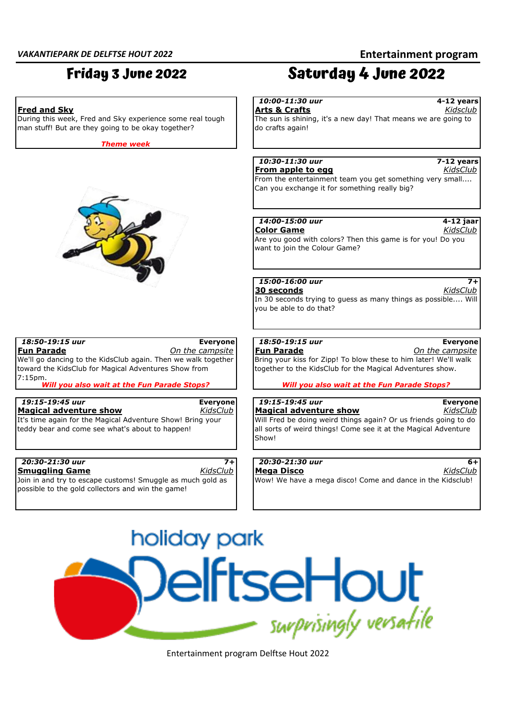### **Fred and Sky Arts & Crafts**

During this week, Fred and Sky experience some real tough man stuff! But are they going to be okay together?

*Theme week*



| 18:50-19:15 uur                                               | <b>Everyone</b> |
|---------------------------------------------------------------|-----------------|
| <u>Fun Parade</u>                                             | On the campsite |
| We'll go dancing to the KidsClub again. Then we walk together |                 |
| toward the KidsClub for Magical Adventures Show from          |                 |
| 7:15pm.                                                       |                 |
| <b>Will you also wait at the Fun Parade Stops?</b>            |                 |

### *19:15-19:45 uur* **Magical adventure show** *KidsClub* **Magical adventure show** *KidsClub*

| Everyone |
|----------|
| KidsClub |
|          |

It's time again for the Magical Adventure Show! Bring your teddy bear and come see what's about to happen!

# *20:30-21:30 uur* **7+** *20:30-21:30 uur* **6+**

Join in and try to escape customs! Smuggle as much gold as possible to the gold collectors and win the game!

**Friday 3 June 2022 Saturday 4 June 2022**

# *10:00-11:30 uur* **4-12 years**

*Kidsclub*

The sun is shining, it's a new day! That means we are going to do crafts again!

### *10:30-11:30 uur* **7-12 years From apple to egg**

From the entertainment team you get something very small.... Can you exchange it for something really big?

## *14:00-15:00 uur* **4-12 jaar**

**Color Game** *KidsClub* Are you good with colors? Then this game is for you! Do you want to join the Colour Game?

## *15:00-16:00 uur* **7+**

**30 seconds** *KidsClub* In 30 seconds trying to guess as many things as possible.... Will you be able to do that?

## *18:50-19:15 uur* **Everyone** *18:50-19:15 uur* **Everyone**

**Fun Parade** *On the campsite* **Fun Parade** *On the campsite* Bring your kiss for Zipp! To blow these to him later! We'll walk together to the KidsClub for the Magical Adventures show.

### *Will you also wait at the Fun Parade Stops? Will you also wait at the Fun Parade Stops?*

# **Everyone** *19:15-19:45 uur* **Everyone**

Will Fred be doing weird things again? Or us friends going to do all sorts of weird things! Come see it at the Magical Adventure Show!

**Smuggling Game** *KidsClub* **Mega Disco** *KidsClub* Wow! We have a mega disco! Come and dance in the Kidsclub!



Entertainment program Delftse Hout 2022